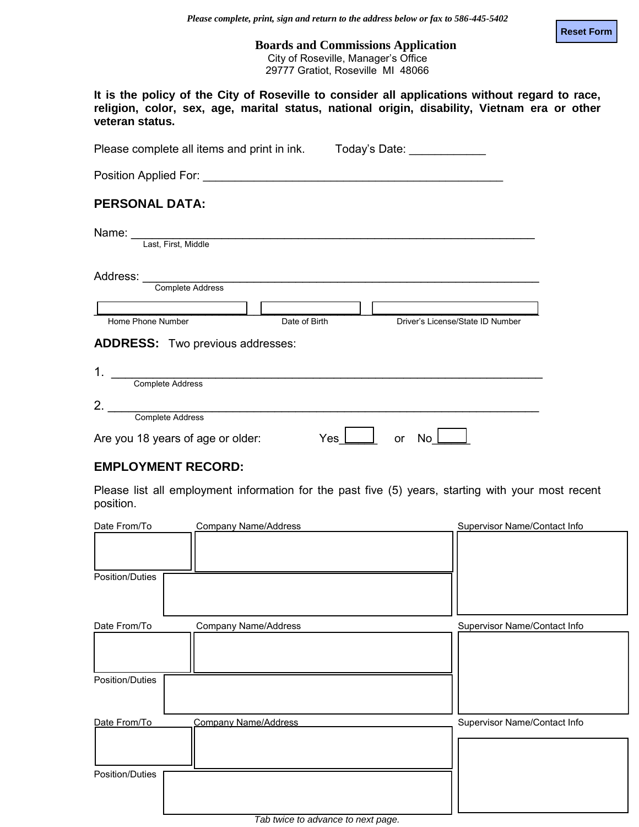**Reset Form**

**Boards and Commissions Application** City of Roseville, Manager's Office 29777 Gratiot, Roseville MI 48066

|                 |  |  |  | It is the policy of the City of Roseville to consider all applications without regard to race, |  |  |
|-----------------|--|--|--|------------------------------------------------------------------------------------------------|--|--|
|                 |  |  |  | religion, color, sex, age, marital status, national origin, disability, Vietnam era or other   |  |  |
| veteran status. |  |  |  |                                                                                                |  |  |

| Please complete all items and print in ink. Today's Date:                                                                                                                                                                                            |               |    |                                  |  |  |  |
|------------------------------------------------------------------------------------------------------------------------------------------------------------------------------------------------------------------------------------------------------|---------------|----|----------------------------------|--|--|--|
| Position Applied For: New York Contract to the Contract of the Contract of the Contract of the Contract of the                                                                                                                                       |               |    |                                  |  |  |  |
| <b>PERSONAL DATA:</b>                                                                                                                                                                                                                                |               |    |                                  |  |  |  |
| Name: and the state of the state of the state of the state of the state of the state of the state of the state of the state of the state of the state of the state of the state of the state of the state of the state of the<br>Last, First, Middle |               |    |                                  |  |  |  |
| Address:<br>Complete Address                                                                                                                                                                                                                         |               |    |                                  |  |  |  |
|                                                                                                                                                                                                                                                      |               |    |                                  |  |  |  |
| Home Phone Number                                                                                                                                                                                                                                    | Date of Birth |    | Driver's License/State ID Number |  |  |  |
| <b>ADDRESS:</b> Two previous addresses:                                                                                                                                                                                                              |               |    |                                  |  |  |  |
| 1.                                                                                                                                                                                                                                                   |               |    |                                  |  |  |  |
| Complete Address                                                                                                                                                                                                                                     |               |    |                                  |  |  |  |
| 2.                                                                                                                                                                                                                                                   |               |    |                                  |  |  |  |
| Complete Address                                                                                                                                                                                                                                     |               |    |                                  |  |  |  |
| Are you 18 years of age or older:                                                                                                                                                                                                                    | Yes           | or | No                               |  |  |  |

## **EMPLOYMENT RECORD:**

Please list all employment information for the past five (5) years, starting with your most recent position.

| Date From/To    | <b>Company Name/Address</b>                        | Supervisor Name/Contact Info |
|-----------------|----------------------------------------------------|------------------------------|
|                 |                                                    |                              |
| Position/Duties |                                                    |                              |
| Date From/To    | Company Name/Address                               | Supervisor Name/Contact Info |
| Position/Duties |                                                    |                              |
| Date From/To    | <b>Company Name/Address</b>                        | Supervisor Name/Contact Info |
|                 |                                                    |                              |
| Position/Duties |                                                    |                              |
|                 | $T$ at the discrete section of the second $\alpha$ |                              |